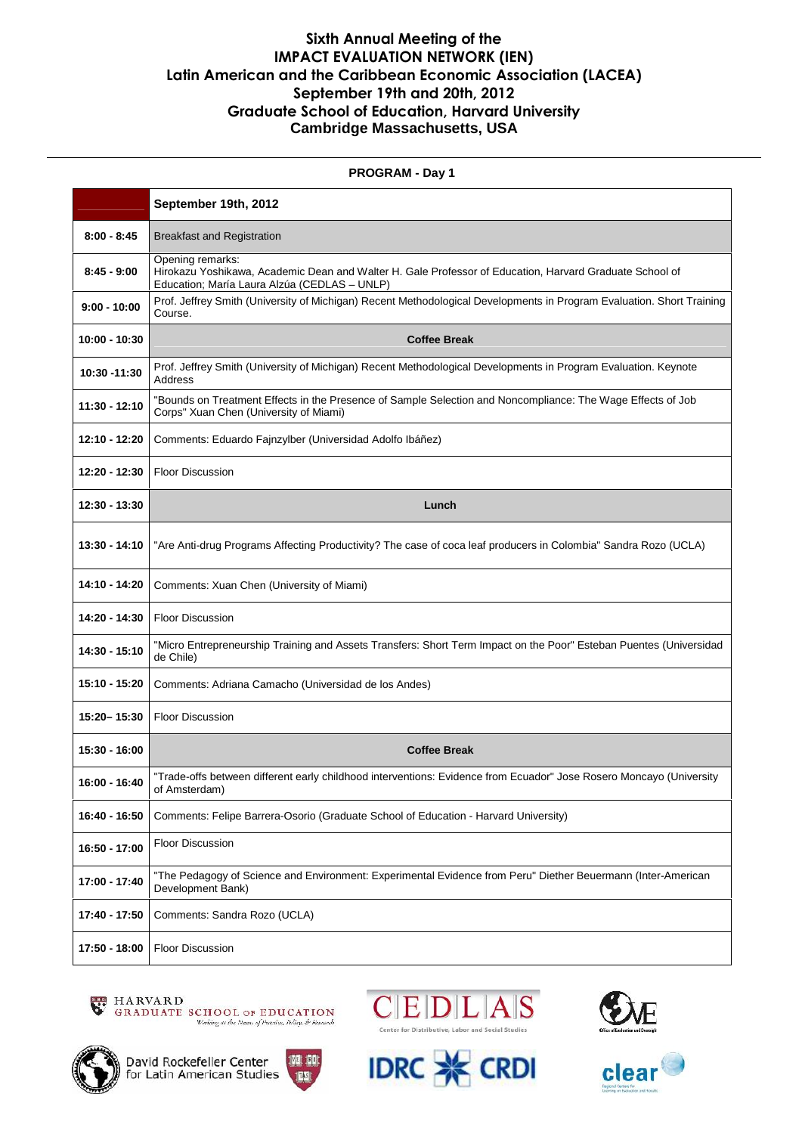## **Sixth Annual Meeting of the IMPACT EVALUATION NETWORK (IEN) Latin American and the Caribbean Economic Association (LACEA) September 19th and 20th, 2012 Graduate School of Education, Harvard University Cambridge Massachusetts, USA**

| <b>PROGRAM - Day 1</b> |                                                                                                                                                                             |
|------------------------|-----------------------------------------------------------------------------------------------------------------------------------------------------------------------------|
|                        | September 19th, 2012                                                                                                                                                        |
| $8:00 - 8:45$          | <b>Breakfast and Registration</b>                                                                                                                                           |
| $8:45 - 9:00$          | Opening remarks:<br>Hirokazu Yoshikawa, Academic Dean and Walter H. Gale Professor of Education, Harvard Graduate School of<br>Education; María Laura Alzúa (CEDLAS - UNLP) |
| $9:00 - 10:00$         | Prof. Jeffrey Smith (University of Michigan) Recent Methodological Developments in Program Evaluation. Short Training<br>Course.                                            |
| 10:00 - 10:30          | <b>Coffee Break</b>                                                                                                                                                         |
| 10:30 -11:30           | Prof. Jeffrey Smith (University of Michigan) Recent Methodological Developments in Program Evaluation. Keynote<br>Address                                                   |
| 11:30 - 12:10          | "Bounds on Treatment Effects in the Presence of Sample Selection and Noncompliance: The Wage Effects of Job<br>Corps" Xuan Chen (University of Miami)                       |
| 12:10 - 12:20          | Comments: Eduardo Fajnzylber (Universidad Adolfo Ibáñez)                                                                                                                    |
| 12:20 - 12:30          | <b>Floor Discussion</b>                                                                                                                                                     |
| 12:30 - 13:30          | Lunch                                                                                                                                                                       |
| 13:30 - 14:10          | "Are Anti-drug Programs Affecting Productivity? The case of coca leaf producers in Colombia" Sandra Rozo (UCLA)                                                             |
| 14:10 - 14:20          | Comments: Xuan Chen (University of Miami)                                                                                                                                   |
| 14:20 - 14:30          | <b>Floor Discussion</b>                                                                                                                                                     |
| 14:30 - 15:10          | "Micro Entrepreneurship Training and Assets Transfers: Short Term Impact on the Poor" Esteban Puentes (Universidad<br>de Chile)                                             |
| 15:10 - 15:20          | Comments: Adriana Camacho (Universidad de los Andes)                                                                                                                        |
| 15:20-15:30            | <b>Floor Discussion</b>                                                                                                                                                     |
| 15:30 - 16:00          | <b>Coffee Break</b>                                                                                                                                                         |
| 16:00 - 16:40          | "Trade-offs between different early childhood interventions: Evidence from Ecuador" Jose Rosero Moncayo (University<br>of Amsterdam)                                        |
| 16:40 - 16:50          | Comments: Felipe Barrera-Osorio (Graduate School of Education - Harvard University)                                                                                         |
| 16:50 - 17:00          | <b>Floor Discussion</b>                                                                                                                                                     |
| 17:00 - 17:40          | "The Pedagogy of Science and Environment: Experimental Evidence from Peru" Diether Beuermann (Inter-American<br>Development Bank)                                           |
| 17:40 - 17:50          | Comments: Sandra Rozo (UCLA)                                                                                                                                                |
| 17:50 - 18:00          | Floor Discussion                                                                                                                                                            |